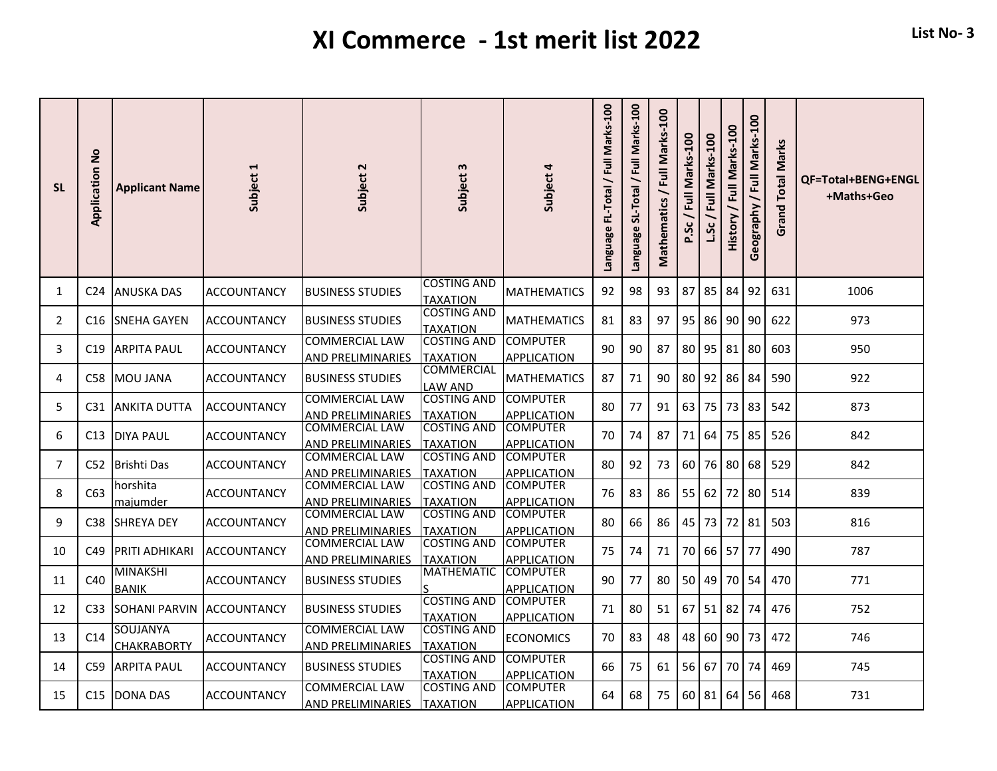## **XI Commerce - 1st merit list 2022 List No- 3**

| <b>SL</b>      | <b>Application No</b> | <b>Applicant Name</b>           | Subject 1          | Subject 2                                         | Subject 3                             | Subject 4                             | Language FL-Total / Full Marks-100 | Language SL-Total / Full Marks-100 | Full Marks-100<br><b>Mathematics</b> | Marks-100<br>$\overline{a}$<br>ჯ | Full Marks-100 | Full Marks-100<br>History | Geography / Full Marks-100 | <b>Grand Total Marks</b> | QF=Total+BENG+ENGL<br>+Maths+Geo |
|----------------|-----------------------|---------------------------------|--------------------|---------------------------------------------------|---------------------------------------|---------------------------------------|------------------------------------|------------------------------------|--------------------------------------|----------------------------------|----------------|---------------------------|----------------------------|--------------------------|----------------------------------|
| 1              |                       | C <sub>24</sub> JANUSKA DAS     | <b>ACCOUNTANCY</b> | <b>BUSINESS STUDIES</b>                           | COSTING AND<br><b>TAXATION</b>        | <b>MATHEMATICS</b>                    | 92                                 | 98                                 | 93                                   | 87                               | 85 84          |                           | 92                         | 631                      | 1006                             |
| $\overline{2}$ | C16                   | <b>SNEHA GAYEN</b>              | ACCOUNTANCY        | <b>BUSINESS STUDIES</b>                           | <b>COSTING AND</b><br><b>TAXATION</b> | <b>MATHEMATICS</b>                    | 81                                 | 83                                 | 97                                   | 95                               | 86 90 90       |                           |                            | 622                      | 973                              |
| 3              | C <sub>19</sub>       | <b>ARPITA PAUL</b>              | <b>ACCOUNTANCY</b> | <b>COMMERCIAL LAW</b><br><b>AND PRELIMINARIES</b> | <b>COSTING AND</b><br><b>TAXATION</b> | <b>COMPUTER</b><br><b>APPLICATION</b> | 90                                 | 90                                 | 87                                   | 80                               | 95 81          |                           | 80                         | 603                      | 950                              |
| 4              | C58                   | <b>MOU JANA</b>                 | <b>ACCOUNTANCY</b> | <b>BUSINESS STUDIES</b>                           | COMMERCIAL<br>LAW AND                 | <b>MATHEMATICS</b>                    | 87                                 | 71                                 | 90                                   | 80                               | 92 86 84       |                           |                            | 590                      | 922                              |
| 5              |                       | <b>C31 JANKITA DUTTA</b>        | <b>ACCOUNTANCY</b> | <b>COMMERCIAL LAW</b><br><b>AND PRELIMINARIES</b> | <b>COSTING AND</b><br><b>TAXATION</b> | <b>COMPUTER</b><br><b>APPLICATION</b> | 80                                 | 77                                 | 91                                   | 63                               | 75 73          |                           | 83                         | 542                      | 873                              |
| 6              | C13                   | <b>IDIYA PAUL</b>               | <b>ACCOUNTANCY</b> | <b>COMMERCIAL LAW</b><br><b>AND PRELIMINARIES</b> | <b>COSTING AND</b><br><b>TAXATION</b> | <b>COMPUTER</b><br><b>APPLICATION</b> | 70                                 | 74                                 | 87                                   | 71                               | 64 l           | 75 I                      | 85                         | 526                      | 842                              |
| 7              |                       | C52 Brishti Das                 | ACCOUNTANCY        | <b>COMMERCIAL LAW</b><br><b>AND PRELIMINARIES</b> | <b>COSTING AND</b><br><b>TAXATION</b> | <b>COMPUTER</b><br><b>APPLICATION</b> | 80                                 | 92                                 | 73                                   | 60                               | 76 80          |                           | 68                         | 529                      | 842                              |
| 8              | C63                   | horshita<br>majumder            | <b>ACCOUNTANCY</b> | <b>COMMERCIAL LAW</b><br><b>AND PRELIMINARIES</b> | <b>COSTING AND</b><br><b>TAXATION</b> | <b>COMPUTER</b><br><b>APPLICATION</b> | 76                                 | 83                                 | 86                                   | 55                               | 62             | 72                        | 80                         | 514                      | 839                              |
| 9              | C38                   | <b>SHREYA DEY</b>               | <b>ACCOUNTANCY</b> | <b>COMMERCIAL LAW</b><br><b>AND PRELIMINARIES</b> | <b>COSTING AND</b><br><b>TAXATION</b> | <b>COMPUTER</b><br><b>APPLICATION</b> | 80                                 | 66                                 | 86                                   |                                  | 45 73 72       |                           | 81                         | 503                      | 816                              |
| 10             | C49                   | <b>PRITI ADHIKARI</b>           | <b>ACCOUNTANCY</b> | <b>COMMERCIAL LAW</b><br>AND PRELIMINARIES        | <b>COSTING AND</b><br>TAXATION        | <b>COMPUTER</b><br><b>APPLICATION</b> | 75                                 | 74                                 | 71                                   | 70                               | 66 57 77       |                           |                            | 490                      | 787                              |
| 11             | C40                   | <b>MINAKSHI</b><br><b>BANIK</b> | <b>ACCOUNTANCY</b> | <b>BUSINESS STUDIES</b>                           | <b>MATHEMATIC</b>                     | <b>COMPUTER</b><br><b>APPLICATION</b> | 90                                 | 77                                 | 80                                   | 50                               | 49             | 70 54                     |                            | 470                      | 771                              |
| 12             | C <sub>33</sub>       | <b>SOHANI PARVIN</b>            | <b>ACCOUNTANCY</b> | <b>BUSINESS STUDIES</b>                           | <b>COSTING AND</b><br><b>TAXATION</b> | <b>COMPUTER</b><br><b>APPLICATION</b> | 71                                 | 80                                 | 51                                   | 67                               | $51$ 82        |                           | 74                         | 476                      | 752                              |
| 13             | C <sub>14</sub>       | SOUJANYA<br><b>CHAKRABORTY</b>  | <b>ACCOUNTANCY</b> | <b>COMMERCIAL LAW</b><br><b>AND PRELIMINARIES</b> | <b>COSTING AND</b><br><b>TAXATION</b> | <b>ECONOMICS</b>                      | 70                                 | 83                                 | 48                                   | 48                               | 60 90 73       |                           |                            | 472                      | 746                              |
| 14             | C59                   | <b>ARPITA PAUL</b>              | <b>ACCOUNTANCY</b> | <b>BUSINESS STUDIES</b>                           | <b>COSTING AND</b><br><b>TAXATION</b> | <b>COMPUTER</b><br><b>APPLICATION</b> | 66                                 | 75                                 | 61                                   | 56                               | 67             | 70 74                     |                            | 469                      | 745                              |
| 15             | C15                   | <b>DONA DAS</b>                 | ACCOUNTANCY        | <b>COMMERCIAL LAW</b><br><b>AND PRELIMINARIES</b> | <b>COSTING AND</b><br><b>TAXATION</b> | <b>COMPUTER</b><br><b>APPLICATION</b> | 64                                 | 68                                 | 75                                   |                                  | 60 81 64 56    |                           |                            | 468                      | 731                              |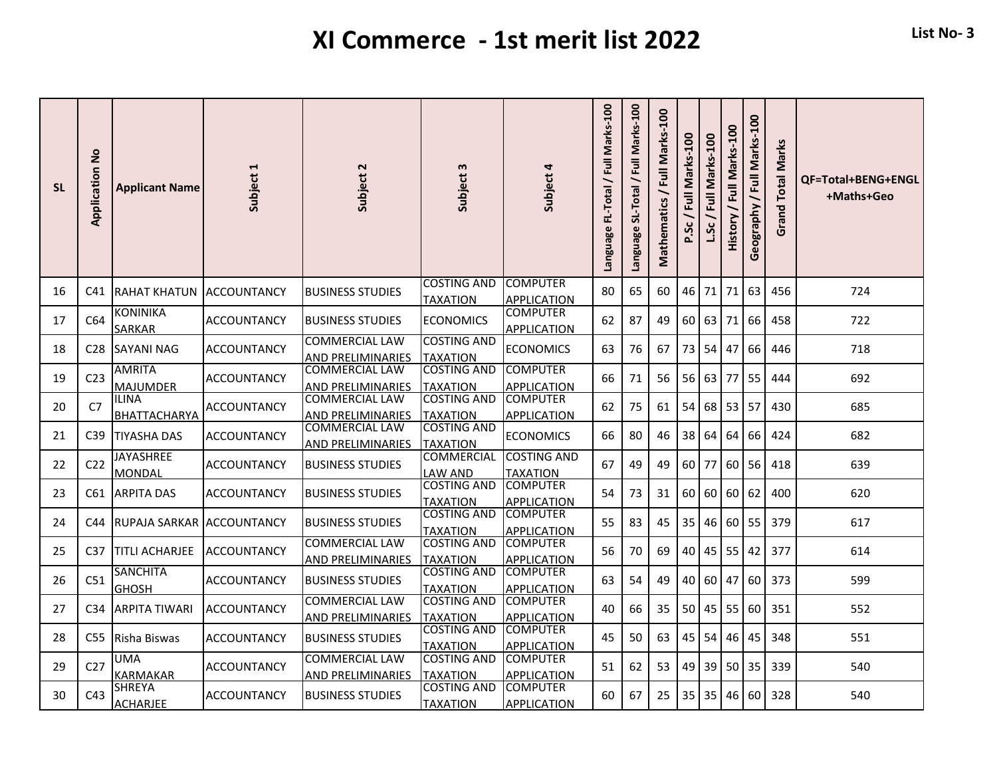## **XI Commerce - 1st merit list 2022 List No- 3**

| <b>SL</b> | <b>Application No</b> | <b>Applicant Name</b>               | Subject 1           | Subject 2                                         | Subject 3                             | Subject 4                             | Language FL-Total / Full Marks-100 | Language SL-Total / Full Marks-100 | Full Marks-100<br><b>Mathematics</b> | <b>00L</b><br>Marks-<br>$\overline{a}$<br>ჯ | Marks-100<br>$\overline{a}$ | Full Marks-100<br>History | / Full Marks-100<br>Geography | <b>Grand Total Marks</b> | QF=Total+BENG+ENGL<br>+Maths+Geo |
|-----------|-----------------------|-------------------------------------|---------------------|---------------------------------------------------|---------------------------------------|---------------------------------------|------------------------------------|------------------------------------|--------------------------------------|---------------------------------------------|-----------------------------|---------------------------|-------------------------------|--------------------------|----------------------------------|
| 16        |                       | <b>C41 IRAHAT KHATUN</b>            | <b>IACCOUNTANCY</b> | <b>BUSINESS STUDIES</b>                           | <b>COSTING AND</b><br><b>TAXATION</b> | <b>COMPUTER</b><br><b>APPLICATION</b> | 80                                 | 65                                 | 60                                   | 46 71                                       |                             | 71                        | 63                            | 456                      | 724                              |
| 17        | C64                   | <b>KONINIKA</b><br><b>SARKAR</b>    | <b>ACCOUNTANCY</b>  | <b>BUSINESS STUDIES</b>                           | <b>ECONOMICS</b>                      | <b>COMPUTER</b><br><b>APPLICATION</b> | 62                                 | 87                                 | 49                                   | 60 <sup>1</sup>                             | 63                          | 71                        | 66                            | 458                      | 722                              |
| 18        | C28                   | <b>SAYANI NAG</b>                   | <b>ACCOUNTANCY</b>  | <b>COMMERCIAL LAW</b><br><b>AND PRELIMINARIES</b> | <b>COSTING AND</b><br><b>TAXATION</b> | <b>ECONOMICS</b>                      | 63                                 | 76                                 | 67                                   | 73                                          | 54                          | 47                        | 66                            | 446                      | 718                              |
| 19        | C <sub>23</sub>       | <b>AMRITA</b><br><b>MAJUMDER</b>    | <b>ACCOUNTANCY</b>  | <b>COMMERCIAL LAW</b><br>AND PRELIMINARIES        | <b>COSTING AND</b><br><b>TAXATION</b> | <b>COMPUTER</b><br><b>APPLICATION</b> | 66                                 | 71                                 | 56                                   | 56                                          | 63                          | 77                        | 55                            | 444                      | 692                              |
| 20        | C7                    | <b>ILINA</b><br><b>BHATTACHARYA</b> | <b>ACCOUNTANCY</b>  | <b>COMMERCIAL LAW</b><br><b>AND PRELIMINARIES</b> | <b>COSTING AND</b><br><b>TAXATION</b> | <b>COMPUTER</b><br><b>APPLICATION</b> | 62                                 | 75                                 | 61                                   | 54                                          | 68                          | 53 57                     |                               | 430                      | 685                              |
| 21        | C <sub>39</sub>       | <b>TIYASHA DAS</b>                  | <b>ACCOUNTANCY</b>  | <b>COMMERCIAL LAW</b><br>AND PRELIMINARIES        | <b>COSTING AND</b><br><b>TAXATION</b> | <b>ECONOMICS</b>                      | 66                                 | 80                                 | 46                                   | 38                                          | 64                          | 64                        | 66                            | 424                      | 682                              |
| 22        | C <sub>22</sub>       | <b>JAYASHREE</b><br>MONDAL          | <b>ACCOUNTANCY</b>  | <b>BUSINESS STUDIES</b>                           | <b>COMMERCIAL</b><br>LAW AND          | <b>COSTING AND</b><br><b>TAXATION</b> | 67                                 | 49                                 | 49                                   | 60 77                                       |                             | 60                        | 56                            | 418                      | 639                              |
| 23        | C61                   | <b>ARPITA DAS</b>                   | <b>ACCOUNTANCY</b>  | <b>BUSINESS STUDIES</b>                           | <b>COSTING AND</b><br>TAXATION        | <b>COMPUTER</b><br><b>APPLICATION</b> | 54                                 | 73                                 | 31                                   | 60                                          | 60                          | 60                        | 62                            | 400                      | 620                              |
| 24        | C44                   | RUPAJA SARKAR ACCOUNTANCY           |                     | <b>BUSINESS STUDIES</b>                           | <b>COSTING AND</b><br><b>TAXATION</b> | <b>COMPUTER</b><br><b>APPLICATION</b> | 55                                 | 83                                 | 45                                   | 35                                          | 46                          | $60$ 55                   |                               | 379                      | 617                              |
| 25        | C <sub>37</sub>       | <b>TITLI ACHARJEE</b>               | <b>ACCOUNTANCY</b>  | <b>COMMERCIAL LAW</b><br>AND PRELIMINARIES        | <b>COSTING AND</b><br><b>TAXATION</b> | <b>COMPUTER</b><br><b>APPLICATION</b> | 56                                 | 70                                 | 69                                   | 40                                          | 45 55                       |                           | 42                            | 377                      | 614                              |
| 26        | C51                   | <b>SANCHITA</b><br><b>GHOSH</b>     | <b>ACCOUNTANCY</b>  | <b>BUSINESS STUDIES</b>                           | <b>COSTING AND</b><br><b>TAXATION</b> | <b>COMPUTER</b><br><b>APPLICATION</b> | 63                                 | 54                                 | 49                                   | 40 <sup>1</sup>                             | 60                          | 47                        | 60                            | 373                      | 599                              |
| 27        | C <sub>34</sub>       | <b>ARPITA TIWARI</b>                | <b>ACCOUNTANCY</b>  | <b>COMMERCIAL LAW</b><br>AND PRELIMINARIES        | <b>COSTING AND</b><br><b>TAXATION</b> | <b>COMPUTER</b><br><b>APPLICATION</b> | 40                                 | 66                                 | 35                                   | 50                                          | 45                          | 55                        | 60                            | 351                      | 552                              |
| 28        |                       | C55 Risha Biswas                    | <b>ACCOUNTANCY</b>  | <b>BUSINESS STUDIES</b>                           | <b>COSTING AND</b><br><b>TAXATION</b> | <b>COMPUTER</b><br><b>APPLICATION</b> | 45                                 | 50                                 | 63                                   | 45                                          | 54                          | 46                        | 45                            | 348                      | 551                              |
| 29        | C <sub>27</sub>       | <b>UMA</b><br><b>KARMAKAR</b>       | <b>ACCOUNTANCY</b>  | <b>COMMERCIAL LAW</b><br>AND PRELIMINARIES        | <b>COSTING AND</b><br><b>TAXATION</b> | <b>COMPUTER</b><br><b>APPLICATION</b> | 51                                 | 62                                 | 53                                   | 49                                          | 39 50 35                    |                           |                               | 339                      | 540                              |
| 30        | C43                   | SHREYA<br><b>ACHARJEE</b>           | ACCOUNTANCY         | <b>BUSINESS STUDIES</b>                           | COSTING AND<br><b>TAXATION</b>        | <b>COMPUTER</b><br><b>APPLICATION</b> | 60                                 | 67                                 | 25                                   | 35 <sup>1</sup>                             | 35                          | 46                        | 60                            | 328                      | 540                              |